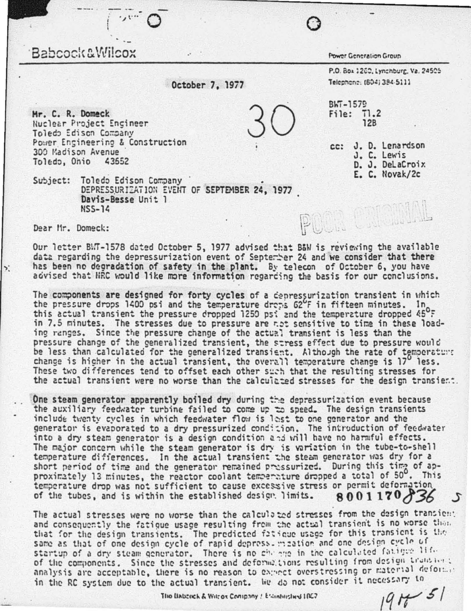## Babcock&Wilcox

Power Generation Group

Telephone: (604) 384-5111

cc: J. D. Lenardson

J. C. Lewis

D. J. DeLaCroix E. C. Novak/2c

P.O. Box 1260, Lynchburg, Va. 24505

October 7, 1977

BWT-1579 File: T1.2  $12B$ 

Plume

Mr. C. R. Domeck **Nuclear Project Engineer** Toledo Edison Company Power Engineering & Construction 300 Madison Avenue Toledo, Onio 43652

Subject: Toledo Edison Company DEPRESSURIZATION EVENT OF SEPTEMBER 24, 1977 Davis-Besse Unit 1  $NSS-14$ 

Dear Mr. Domeck:

Our letter BMT-1578 dated October 5, 1977 advised that B&W is reviewing the available data regarding the depressurization event of September 24 and we consider that there has been no degradation of safety in the plant. By telecon of October 6, you have advised that HRC would like more information regarding the basis for our conclusions.

The components are designed for forty cycles of a cenressurization transient in which the pressure drops 1400 psi and the temperature drops  $62^{\circ}$ F in fifteen minutes. In this actual transient the pressure dropped 1250 psi and the temperature dropped 45<sup>o</sup>F in 7.5 minutes. The stresses due to pressure are not sensitive to time in these loading ranges. Since the pressure change of the actual transient is less than the pressure change of the generalized transient, the stress effect due to pressure would be less than calculated for the generalized transient. Although the rate of temperature change is higher in the actual transient, the overall temperature change is 17<sup>0</sup> less.<br>These two differences tend to offset each other such that the resulting stresses for the actual transient were no worse than the calculated stresses for the design transient.

One steam generator apparently boiled dry during the depressurization event because the auxiliary feedwater turbine failed to come up to speed. The design transients include twenty cycles in which feedwater flow is lest to one generator and the generator is evaporated to a dry pressurized condition. The introduction of feedwater into a dry steam generator is a design condition and will have no harmful effects. The major concern while the steam generator is dry is variation in the tube-to-shell temperature differences. In the actual transient the steam generator was dry for a short period of time and the generator remained pressurized. During this time of approximately 13 minutes, the reactor coolant temperature dropped a total of 50°. This temperature drop was not sufficient to cause excessive stress or permit deformation 8001170836 of the tubes, and is within the established design limits.

The actual stresses were no worse than the calculated stresses from the design transient and consequently the fatigue usage resulting from the actual transient is no worse than that for the design transients. The predicted fatioue usage for this transient is the same as that of one design cycle of rapid depress. meation and one design cycle of startup of a dry steam generator. There is no change in the calculated fatigue life of the components. Since the stresses and deformations resulting from design transient analysis are acceptable, there is no reason to expect overstressing or material deformat in the RC system due to the actual transient. We do not consider it necessary to  $191151$